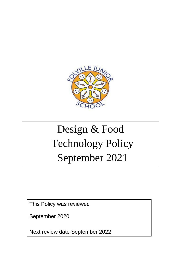

# Design & Food Technology Policy September 2021

This Policy was reviewed

September 2020

Next review date September 2022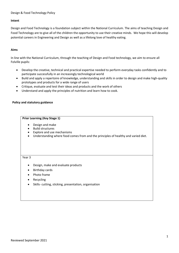# Design & Food Technology Policy

# **Intent**

Design and Food Technology is a foundation subject within the National Curriculum. The aims of teaching Design and Food Technology are to give all of the children the opportunity to use their creative minds. We hope this will develop potential careers in Engineering and Design as well as a lifelong love of healthy eating.

# **Aims**

In line with the National Curriculum, through the teaching of Design and Food technology, we aim to ensure all Folville pupils:

- Develop the creative, technical and practical expertise needed to perform everyday tasks confidently and to participate successfully in an increasingly technological world
- Build and apply a repertoire of knowledge, understanding and skills in order to design and make high-quality prototypes and products for a wide range of users
- Critique, evaluate and test their ideas and products and the work of others
- Understand and apply the principles of nutrition and learn how to cook.

# **Policy and statutory guidance**

# **Prior Learning (Key Stage 1)**

- Design and make
- Build structures
- Explore and use mechanisms
- Understanding where food comes from and the principles of healthy and varied diet.

#### Year 3

- Design, make and evaluate products
- Birthday cards
- Photo frame
- Recycling
- Skills- cutting, sticking, presentation, organisation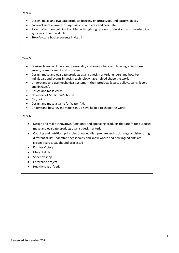#### Year 4

- Design, make and evaluate products focusing on prototypes and pattern pieces
- Zoo enclosures- linked to Twycross visit and area and perimeter.
- Parent afternoon building Iron Men with lighting up eyes. Understand and use electrical systems in their products
- Story/picture books- parents invited in.

#### Year 5

- Cooking lessons- Understand seasonality and know where and how ingredients are grown, reared, caught and processed.
- Design, make and evaluate products against design criteria; understand how key individuals and events in design technology have helped shape the world
- Understand and use mechanical systems in their products (gears, pulleys, cams, levers and linkages).
- Design and make cards
- 3D model of Mt Timnus's house
- Clay coins
- Design and make a game for Water Aid.
- Understand how key individuals in DT have helped to shape the world.

### Year 6

- Design and make innovative, functional and appealing products that are fit for purpose; make and evaluate products against design criteria.
- Cooking and nutrition; principles of varied diet; prepare and cook range of dishes using different skills; understand seasonality and know where and how ingredients are grown, reared, caught and processed
- Knit for Victory
- Mutant dolls
- Shoebox shop
- Enterprise project.
- Healthy Lives- food.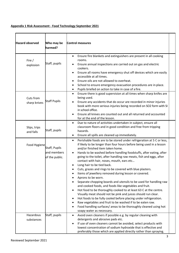# **Appendix 1 Risk Assessment - Food Technology September 2021**

| <b>Hazard observed</b>    | Who may be<br>harmed?                          | <b>Control measures</b>                                                                                                                                                                                                                                                                                                                                                                                                                                                                                                                                                                                                                                                                                                                                                                                                                                                                                                                                                                                                                                                                            |  |
|---------------------------|------------------------------------------------|----------------------------------------------------------------------------------------------------------------------------------------------------------------------------------------------------------------------------------------------------------------------------------------------------------------------------------------------------------------------------------------------------------------------------------------------------------------------------------------------------------------------------------------------------------------------------------------------------------------------------------------------------------------------------------------------------------------------------------------------------------------------------------------------------------------------------------------------------------------------------------------------------------------------------------------------------------------------------------------------------------------------------------------------------------------------------------------------------|--|
| Fire /<br>explosion       | Staff, pupils                                  | Ensure fire blankets and extinguishers are present in all cooking<br>$\bullet$<br>rooms.<br>Ensure annual inspections are carried out on gas and electric<br>cookers.<br>Ensure all rooms have emergency shut off devices which are easily<br>$\bullet$<br>accessible at all times.<br>Ensure oils are not allowed to overheat.<br>School to ensure emergency evacuation procedures are in place.<br>٠<br>Pupils briefed on action to take in case of a fire.<br>$\bullet$                                                                                                                                                                                                                                                                                                                                                                                                                                                                                                                                                                                                                         |  |
| Cuts from<br>sharp knives | <b>Staff Pupils</b>                            | Ensure there is good supervision at all times when sharp knifes are<br>$\bullet$<br>being used.<br>Ensure any accidents that do occur are recorded in minor injuries<br>book with more serious injuries being recorded on SO2 form with SI<br>in school office.<br>Ensure all knives are counted out and all returned and accounted<br>for at the end of the lesson.                                                                                                                                                                                                                                                                                                                                                                                                                                                                                                                                                                                                                                                                                                                               |  |
| Slips, trips<br>and falls | Staff, pupils                                  | Due to nature of activities undertaken in subject, ensure all<br>$\bullet$<br>classroom floors and in good condition and free from tripping<br>hazards.<br>Ensure all spills are cleaned up immediately.<br>٠                                                                                                                                                                                                                                                                                                                                                                                                                                                                                                                                                                                                                                                                                                                                                                                                                                                                                      |  |
| Food Hygiene              | Staff, Pupils<br>and members<br>of the public. | Perishable foods are to be stored under refrigeration at 5 C or less,<br>$\bullet$<br>if likely to be longer than four hours before being used in a lesson<br>and/or finished item taken home.<br>Hands to be washed before handling foodstuffs, after eating, after<br>going to the toilet, after handling raw meats, fish and eggs, after<br>contact with hair, noses, mouth, ears etc<br>Long hair to be tied back.<br>Cuts, grazes and rings to be covered with blue plasters.<br>Items of jewellery removed during lesson or covered.<br>٠<br>Aprons to be worn.<br>Separate chopping boards and utensils to be used for handling raw<br>and cooked foods, and foods like vegetables and fruit.<br>Hot food to be thoroughly cooked to at least 63 C at the centre.<br>٠<br>Visually meat should not be pink and juices should run clear.<br>Hot foods to be fully cooled before placing under refrigeration.<br>٠<br>Raw vegetables and fruit to be washed if to be eaten raw.<br>Food handling surfaces/ areas to be thoroughly cleaned using hot<br>$\bullet$<br>soapy water as necessary. |  |
| Hazardous<br>substances   | Staff, pupils                                  | Avoid oven cleaners if possible e.g. by regular cleaning with<br>$\bullet$<br>detergents and abrasive pads etc.<br>If use of oven cleaners cannot be avoided, select products with<br>٠<br>lowest concentration of sodium hydroxide that is effective and<br>preferably those which are applied directly rather than spraying.                                                                                                                                                                                                                                                                                                                                                                                                                                                                                                                                                                                                                                                                                                                                                                     |  |